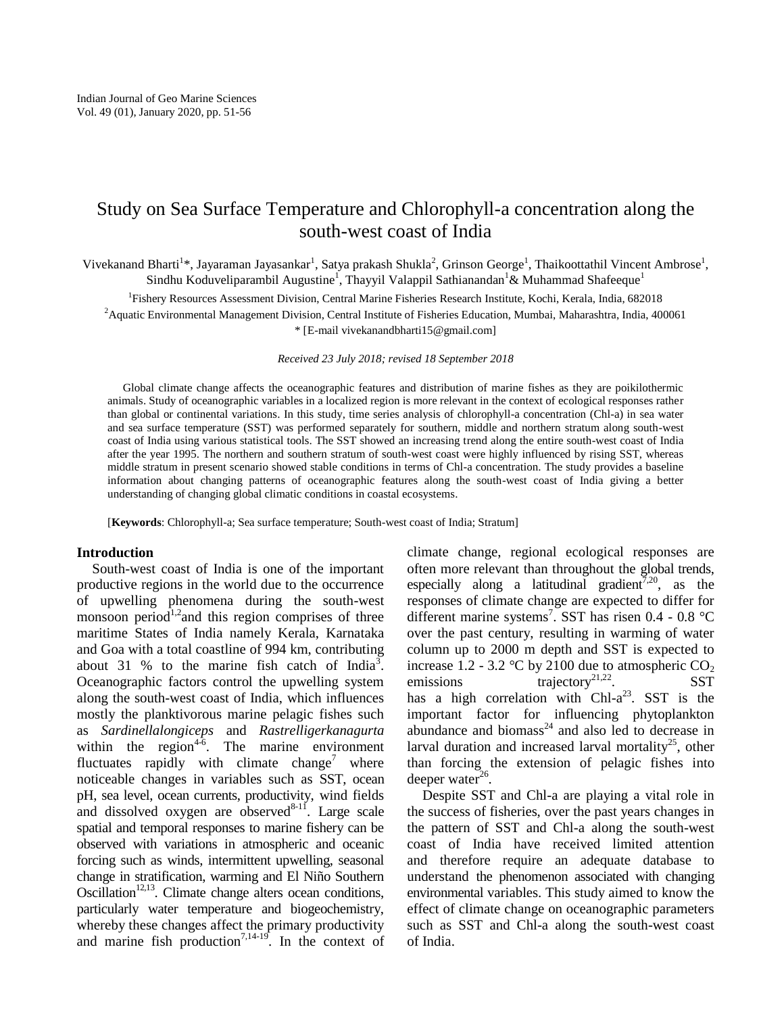# Study on Sea Surface Temperature and Chlorophyll-a concentration along the south-west coast of India

Vivekanand Bharti<sup>1\*</sup>, Jayaraman Jayasankar<sup>1</sup>, Satya prakash Shukla<sup>2</sup>, Grinson George<sup>1</sup>, Thaikoottathil Vincent Ambrose<sup>1</sup>, Sindhu Koduveliparambil Augustine<sup>1</sup>, Thayyil Valappil Sathianandan<sup>1</sup>& Muhammad Shafeeque<sup>1</sup>

1 Fishery Resources Assessment Division, Central Marine Fisheries Research Institute, Kochi, Kerala, India, 682018

 $2A$ quatic Environmental Management Division, Central Institute of Fisheries Education, Mumbai, Maharashtra, India, 400061 \* [E-mail vivekanandbharti15@gmail.com]

*Received 23 July 2018; revised 18 September 2018*

Global climate change affects the oceanographic features and distribution of marine fishes as they are poikilothermic animals. Study of oceanographic variables in a localized region is more relevant in the context of ecological responses rather than global or continental variations. In this study, time series analysis of chlorophyll-a concentration (Chl-a) in sea water and sea surface temperature (SST) was performed separately for southern, middle and northern stratum along south-west coast of India using various statistical tools. The SST showed an increasing trend along the entire south-west coast of India after the year 1995. The northern and southern stratum of south-west coast were highly influenced by rising SST, whereas middle stratum in present scenario showed stable conditions in terms of Chl-a concentration. The study provides a baseline information about changing patterns of oceanographic features along the south-west coast of India giving a better understanding of changing global climatic conditions in coastal ecosystems.

[**Keywords**: Chlorophyll-a; Sea surface temperature; South-west coast of India; Stratum]

### **Introduction**

South-west coast of India is one of the important productive regions in the world due to the occurrence of upwelling phenomena during the south-west monsoon period<sup>1,2</sup> and this region comprises of three maritime States of India namely Kerala, Karnataka and Goa with a total coastline of 994 km, contributing about 31 % to the marine fish catch of India<sup>3</sup>. Oceanographic factors control the upwelling system along the south-west coast of India, which influences mostly the planktivorous marine pelagic fishes such as *Sardinellalongiceps* and *Rastrelligerkanagurta* within the region<sup>4-6</sup>. The marine environment fluctuates rapidly with climate change<sup>7</sup> where noticeable changes in variables such as SST, ocean pH, sea level, ocean currents, productivity, wind fields and dissolved oxygen are observed $8-11$ . Large scale spatial and temporal responses to marine fishery can be observed with variations in atmospheric and oceanic forcing such as winds, intermittent upwelling, seasonal change in stratification, warming and El Niño Southern Oscillation<sup>12,13</sup>. Climate change alters ocean conditions, particularly water temperature and biogeochemistry, whereby these changes affect the primary productivity and marine fish production<sup>7,14-19</sup>. In the context of climate change, regional ecological responses are often more relevant than throughout the global trends, especially along a latitudinal gradient<sup>7,20</sup>, as the responses of climate change are expected to differ for different marine systems<sup>7</sup>. SST has risen 0.4 - 0.8 °C over the past century, resulting in warming of water column up to 2000 m depth and SST is expected to increase 1.2 - 3.2 °C by 2100 due to atmospheric  $CO<sub>2</sub>$ emissions trajectory<sup>21,22</sup>. SST has a high correlation with  $Ch1-a^{23}$ . SST is the important factor for influencing phytoplankton abundance and biomass<sup>24</sup> and also led to decrease in larval duration and increased larval mortality<sup>25</sup>, other than forcing the extension of pelagic fishes into deeper water $26$ .

Despite SST and Chl-a are playing a vital role in the success of fisheries, over the past years changes in the pattern of SST and Chl-a along the south-west coast of India have received limited attention and therefore require an adequate database to understand the phenomenon associated with changing environmental variables. This study aimed to know the effect of climate change on oceanographic parameters such as SST and Chl-a along the south-west coast of India.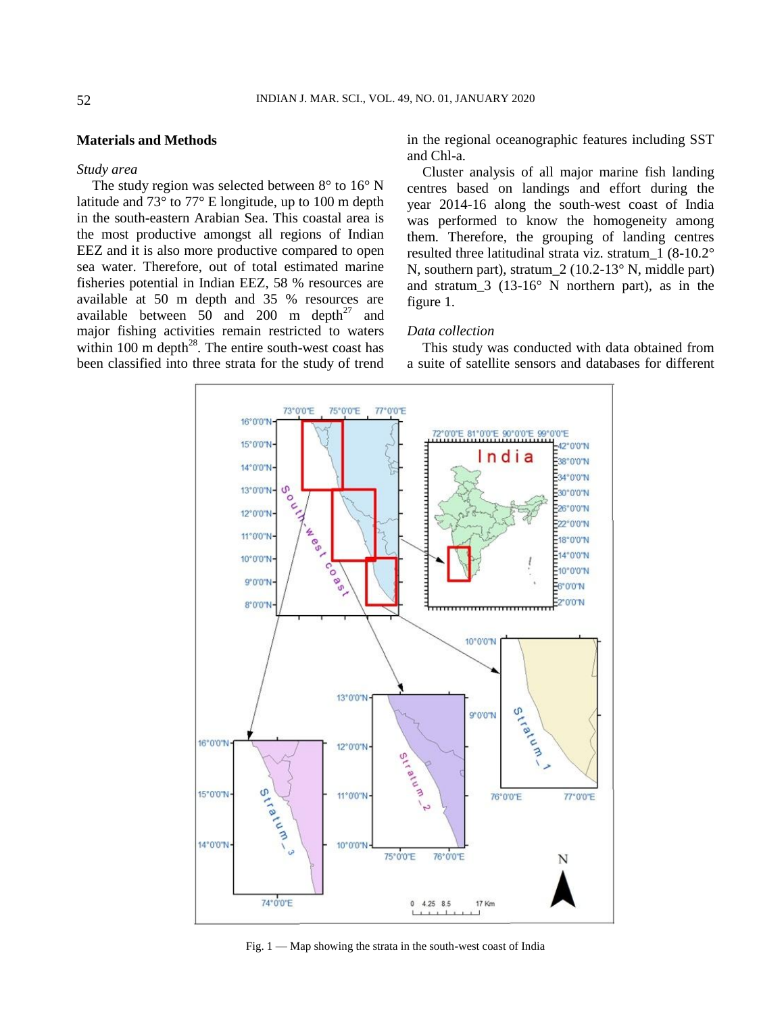# **Materials and Methods**

### *Study area*

The study region was selected between  $8^{\circ}$  to  $16^{\circ}$  N latitude and 73° to 77° E longitude, up to 100 m depth in the south-eastern Arabian Sea. This coastal area is the most productive amongst all regions of Indian EEZ and it is also more productive compared to open sea water. Therefore, out of total estimated marine fisheries potential in Indian EEZ, 58 % resources are available at 50 m depth and 35 % resources are available between  $50$  and  $200$  m depth<sup>27</sup> and major fishing activities remain restricted to waters within 100 m depth<sup>28</sup>. The entire south-west coast has been classified into three strata for the study of trend in the regional oceanographic features including SST and Chl-a.

Cluster analysis of all major marine fish landing centres based on landings and effort during the year 2014-16 along the south-west coast of India was performed to know the homogeneity among them. Therefore, the grouping of landing centres resulted three latitudinal strata viz. stratum\_1 (8-10.2° N, southern part), stratum 2 (10.2-13° N, middle part) and stratum\_3 (13-16° N northern part), as in the figure 1.

## *Data collection*

This study was conducted with data obtained from a suite of satellite sensors and databases for different



Fig.  $1 -$  Map showing the strata in the south-west coast of India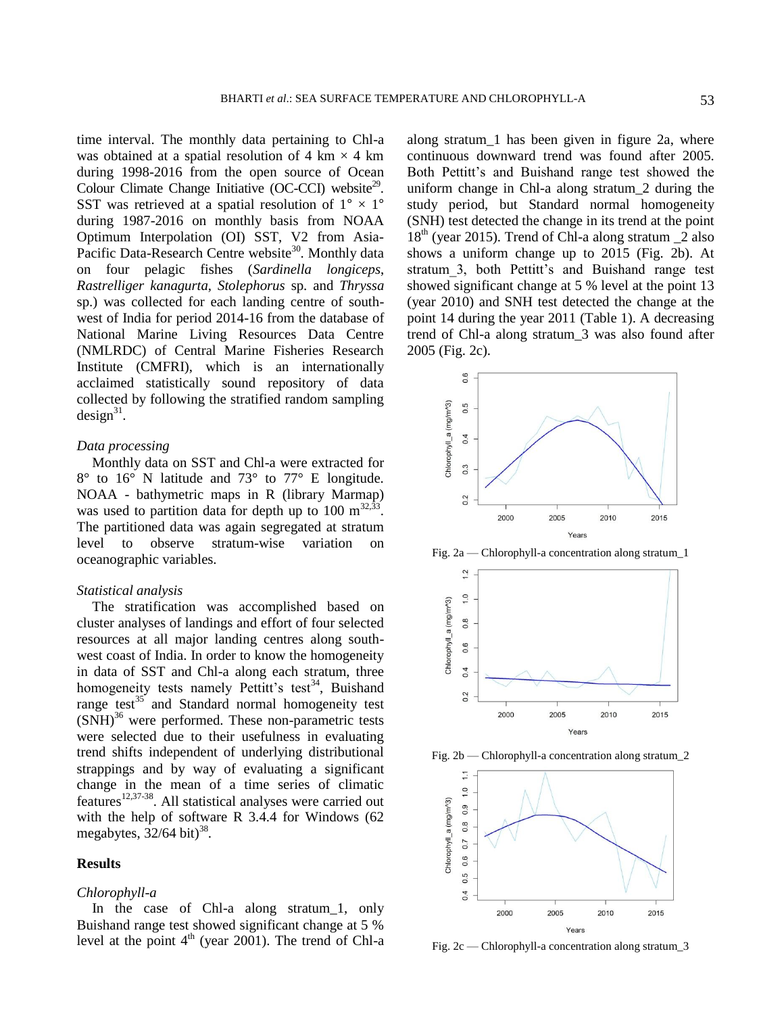time interval. The monthly data pertaining to Chl-a was obtained at a spatial resolution of 4 km  $\times$  4 km during 1998-2016 from the open source of Ocean Colour Climate Change Initiative (OC-CCI) website<sup>29</sup>. SST was retrieved at a spatial resolution of  $1^{\circ} \times 1^{\circ}$ during 1987-2016 on monthly basis from NOAA Optimum Interpolation (OI) SST, V2 from Asia-Pacific Data-Research Centre website<sup>30</sup>. Monthly data on four pelagic fishes (*Sardinella longiceps*, *Rastrelliger kanagurta*, *Stolephorus* sp. and *Thryssa* sp.) was collected for each landing centre of southwest of India for period 2014-16 from the database of National Marine Living Resources Data Centre (NMLRDC) of Central Marine Fisheries Research Institute (CMFRI), which is an internationally acclaimed statistically sound repository of data collected by following the stratified random sampling  $design<sup>31</sup>$ .

## *Data processing*

Monthly data on SST and Chl-a were extracted for 8° to 16° N latitude and 73° to 77° E longitude. NOAA - bathymetric maps in R (library Marmap) was used to partition data for depth up to 100  $\mathrm{m}^{32,33}$ . The partitioned data was again segregated at stratum level to observe stratum-wise variation on oceanographic variables.

## *Statistical analysis*

The stratification was accomplished based on cluster analyses of landings and effort of four selected resources at all major landing centres along southwest coast of India. In order to know the homogeneity in data of SST and Chl-a along each stratum, three homogeneity tests namely Pettitt's test<sup>34</sup>, Buishand range test $35$  and Standard normal homogeneity test  $(SNH)^{36}$  were performed. These non-parametric tests were selected due to their usefulness in evaluating trend shifts independent of underlying distributional strappings and by way of evaluating a significant change in the mean of a time series of climatic features<sup>12,37-38</sup>. All statistical analyses were carried out with the help of software R 3.4.4 for Windows (62 megabytes,  $32/64$  bit)<sup>38</sup>.

## **Results**

#### *Chlorophyll-a*

In the case of Chl-a along stratum\_1, only Buishand range test showed significant change at 5 % level at the point  $4<sup>th</sup>$  (year 2001). The trend of Chl-a

along stratum\_1 has been given in figure 2a, where continuous downward trend was found after 2005. Both Pettitt's and Buishand range test showed the uniform change in Chl-a along stratum\_2 during the study period, but Standard normal homogeneity (SNH) test detected the change in its trend at the point  $18<sup>th</sup>$  (year 2015). Trend of Chl-a along stratum  $\overline{2}$  also shows a uniform change up to 2015 (Fig. 2b). At stratum\_3, both Pettitt's and Buishand range test showed significant change at 5 % level at the point 13 (year 2010) and SNH test detected the change at the point 14 during the year 2011 (Table 1). A decreasing trend of Chl-a along stratum\_3 was also found after 2005 (Fig. 2c).



Fig. 2a — Chlorophyll-a concentration along stratum\_1



Fig. 2b — Chlorophyll-a concentration along stratum\_2



Fig.  $2c$  — Chlorophyll-a concentration along stratum 3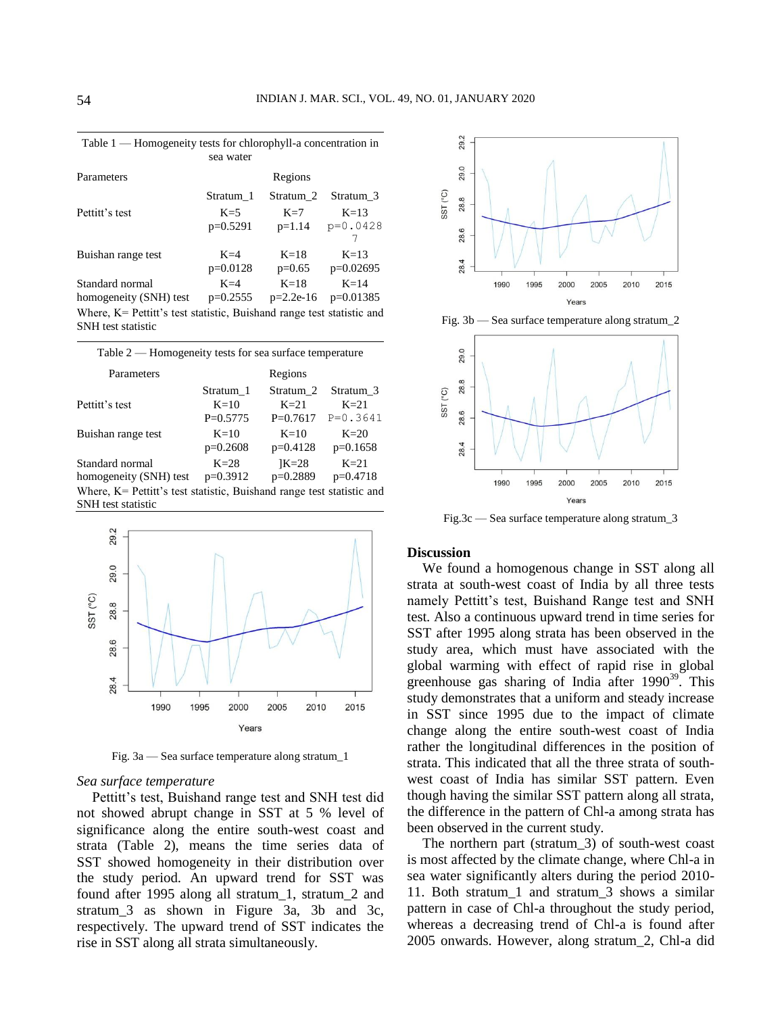| Parameters                                                            |            | Regions     |             |  |
|-----------------------------------------------------------------------|------------|-------------|-------------|--|
|                                                                       | Stratum 1  | Stratum 2   | Stratum 3   |  |
| Pettitt's test                                                        | $K=5$      | $K=7$       | $K=13$      |  |
|                                                                       | $p=0.5291$ | $p=1.14$    | $p=0.0428$  |  |
|                                                                       |            |             |             |  |
| Buishan range test                                                    | $K=4$      | $K=18$      | $K=13$      |  |
|                                                                       | $p=0.0128$ | $p=0.65$    | $p=0.02695$ |  |
| Standard normal                                                       | $K = 4$    | $K=18$      | $K=14$      |  |
| homogeneity (SNH) test                                                | $p=0.2555$ | $p=2.2e-16$ | $p=0.01385$ |  |
| Where, K= Pettitt's test statistic, Buishand range test statistic and |            |             |             |  |
| <b>SNH</b> test statistic                                             |            |             |             |  |

Table 1 — Homogeneity tests for chlorophyll-a concentration in sea water

| Table 2 — Homogeneity tests for sea surface temperature                                        |            |                      |              |  |
|------------------------------------------------------------------------------------------------|------------|----------------------|--------------|--|
| Parameters                                                                                     |            | Regions              |              |  |
| Pettitt's test                                                                                 | Stratum 1  | Stratum <sub>2</sub> | Stratum 3    |  |
|                                                                                                | $K=10$     | $K=2.1$              | $K = 2.1$    |  |
|                                                                                                | $P=0.5775$ | $P=0.7617$           | $P = 0.3641$ |  |
| Buishan range test                                                                             | $K=10$     | $K=10$               | $K=20$       |  |
|                                                                                                | $p=0.2608$ | $p=0.4128$           | $p=0.1658$   |  |
| Standard normal                                                                                | $K=28$     | $K=28$               | $K=21$       |  |
| homogeneity (SNH) test                                                                         | $p=0.3912$ | $p=0.2889$           | $p=0.4718$   |  |
| Where, $K =$ Pettitt's test statistic, Buishand range test statistic and<br>SNH test statistic |            |                      |              |  |



Fig. 3a — Sea surface temperature along stratum\_1

#### *Sea surface temperature*

Pettitt's test, Buishand range test and SNH test did not showed abrupt change in SST at 5 % level of significance along the entire south-west coast and strata (Table 2), means the time series data of SST showed homogeneity in their distribution over the study period. An upward trend for SST was found after 1995 along all stratum\_1, stratum\_2 and stratum\_3 as shown in Figure 3a, 3b and 3c, respectively. The upward trend of SST indicates the rise in SST along all strata simultaneously.



Fig. 3b — Sea surface temperature along stratum\_2



Fig.3c — Sea surface temperature along stratum\_3

## **Discussion**

We found a homogenous change in SST along all strata at south-west coast of India by all three tests namely Pettitt's test, Buishand Range test and SNH test. Also a continuous upward trend in time series for SST after 1995 along strata has been observed in the study area, which must have associated with the global warming with effect of rapid rise in global greenhouse gas sharing of India after  $1990^{39}$ . This study demonstrates that a uniform and steady increase in SST since 1995 due to the impact of climate change along the entire south-west coast of India rather the longitudinal differences in the position of strata. This indicated that all the three strata of southwest coast of India has similar SST pattern. Even though having the similar SST pattern along all strata, the difference in the pattern of Chl-a among strata has been observed in the current study.

The northern part (stratum\_3) of south-west coast is most affected by the climate change, where Chl-a in sea water significantly alters during the period 2010- 11. Both stratum\_1 and stratum\_3 shows a similar pattern in case of Chl-a throughout the study period, whereas a decreasing trend of Chl-a is found after 2005 onwards. However, along stratum\_2, Chl-a did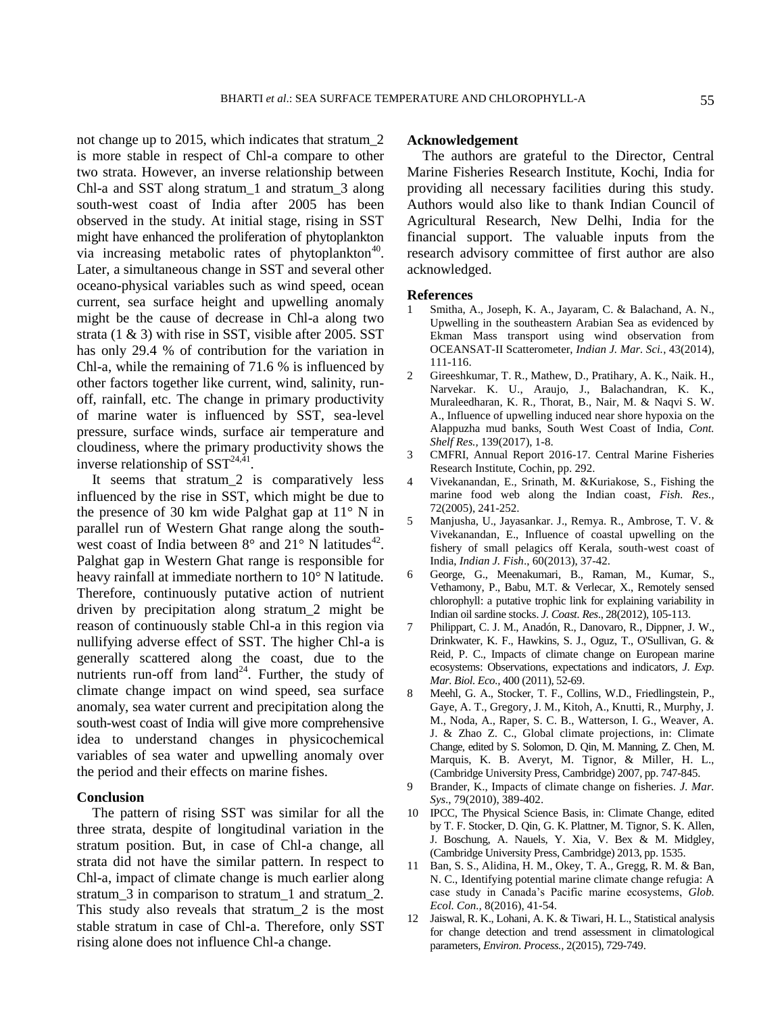not change up to 2015, which indicates that stratum\_2 is more stable in respect of Chl-a compare to other two strata. However, an inverse relationship between Chl-a and SST along stratum\_1 and stratum\_3 along south-west coast of India after 2005 has been observed in the study. At initial stage, rising in SST might have enhanced the proliferation of phytoplankton via increasing metabolic rates of phytoplankton<sup>40</sup>. Later, a simultaneous change in SST and several other oceano-physical variables such as wind speed, ocean current, sea surface height and upwelling anomaly might be the cause of decrease in Chl-a along two strata (1 & 3) with rise in SST, visible after 2005. SST has only 29.4 % of contribution for the variation in Chl-a, while the remaining of 71.6 % is influenced by other factors together like current, wind, salinity, runoff, rainfall, etc. The change in primary productivity of marine water is influenced by SST, sea-level pressure, surface winds, surface air temperature and cloudiness, where the primary productivity shows the inverse relationship of  $\overline{SST}^{24,41}$ .

It seems that stratum\_2 is comparatively less influenced by the rise in SST, which might be due to the presence of 30 km wide Palghat gap at 11° N in parallel run of Western Ghat range along the southwest coast of India between  $8^{\circ}$  and  $21^{\circ}$  N latitudes<sup>42</sup>. Palghat gap in Western Ghat range is responsible for heavy rainfall at immediate northern to 10° N latitude. Therefore, continuously putative action of nutrient driven by precipitation along stratum\_2 might be reason of continuously stable Chl-a in this region via nullifying adverse effect of SST. The higher Chl-a is generally scattered along the coast, due to the nutrients run-off from  $land^{24}$ . Further, the study of climate change impact on wind speed, sea surface anomaly, sea water current and precipitation along the south-west coast of India will give more comprehensive idea to understand changes in physicochemical variables of sea water and upwelling anomaly over the period and their effects on marine fishes.

#### **Conclusion**

The pattern of rising SST was similar for all the three strata, despite of longitudinal variation in the stratum position. But, in case of Chl-a change, all strata did not have the similar pattern. In respect to Chl-a, impact of climate change is much earlier along stratum\_3 in comparison to stratum\_1 and stratum\_2. This study also reveals that stratum\_2 is the most stable stratum in case of Chl-a. Therefore, only SST rising alone does not influence Chl-a change.

## **Acknowledgement**

The authors are grateful to the Director, Central Marine Fisheries Research Institute, Kochi, India for providing all necessary facilities during this study. Authors would also like to thank Indian Council of Agricultural Research, New Delhi, India for the financial support. The valuable inputs from the research advisory committee of first author are also acknowledged.

#### **References**

- 1 Smitha, A., Joseph, K. A., Jayaram, C. & Balachand, A. N., Upwelling in the southeastern Arabian Sea as evidenced by Ekman Mass transport using wind observation from OCEANSAT-II Scatterometer, *Indian J. Mar. Sci.*, 43(2014), 111-116.
- 2 Gireeshkumar, T. R., Mathew, D., Pratihary, A. K., Naik. H., Narvekar. K. U., Araujo, J., Balachandran, K. K., Muraleedharan, K. R., Thorat, B., Nair, M. & Naqvi S. W. A., Influence of upwelling induced near shore hypoxia on the Alappuzha mud banks, South West Coast of India, *Cont. Shelf Res.,* 139(2017), 1-8.
- 3 CMFRI, Annual Report 2016-17. Central Marine Fisheries Research Institute, Cochin, pp. 292.
- 4 Vivekanandan, E., Srinath, M. &Kuriakose, S., Fishing the marine food web along the Indian coast, *Fish. Res.,* 72(2005), 241-252.
- 5 Manjusha, U., Jayasankar. J., Remya. R., Ambrose, T. V. & Vivekanandan, E., Influence of coastal upwelling on the fishery of small pelagics off Kerala, south-west coast of India, *Indian J. Fish*., 60(2013), 37-42.
- 6 George, G., Meenakumari, B., Raman, M., Kumar, S., Vethamony, P., Babu, M.T. & Verlecar, X., Remotely sensed chlorophyll: a putative trophic link for explaining variability in Indian oil sardine stocks. *J. Coast. Res*., 28(2012), 105-113.
- 7 Philippart, C. J. M., Anadón, R., Danovaro, R., Dippner, J. W., Drinkwater, K. F., Hawkins, S. J., Oguz, T., O'Sullivan, G. & Reid, P. C., Impacts of climate change on European marine ecosystems: Observations, expectations and indicators, *J. Exp. Mar. Biol. Eco.,* 400 (2011), 52-69.
- 8 Meehl, G. A., Stocker, T. F., Collins, W.D., Friedlingstein, P., Gaye, A. T., Gregory, J. M., Kitoh, A., Knutti, R., Murphy, J. M., Noda, A., Raper, S. C. B., Watterson, I. G., Weaver, A. J. & Zhao Z. C., Global climate projections, in: Climate Change, edited by S. Solomon, D. Qin, M. Manning, Z. Chen, M. Marquis, K. B. Averyt, M. Tignor, & Miller, H. L., (Cambridge University Press, Cambridge) 2007, pp. 747-845.
- 9 Brander, K., Impacts of climate change on fisheries. *J. Mar. Sys*., 79(2010), 389-402.
- 10 IPCC, The Physical Science Basis, in: Climate Change, edited by T. F. Stocker, D. Qin, G. K. Plattner, M. Tignor, S. K. Allen, J. Boschung, A. Nauels, Y. Xia, V. Bex & M. Midgley, (Cambridge University Press, Cambridge) 2013, pp. 1535.
- 11 Ban, S. S., Alidina, H. M., Okey, T. A., Gregg, R. M. & Ban, N. C., Identifying potential marine climate change refugia: A case study in Canada's Pacific marine ecosystems, *Glob. Ecol. Con.,* 8(2016), 41-54.
- 12 Jaiswal, R. K., Lohani, A. K. & Tiwari, H. L., Statistical analysis for change detection and trend assessment in climatological parameters, *Environ. Process.,* 2(2015), 729-749.